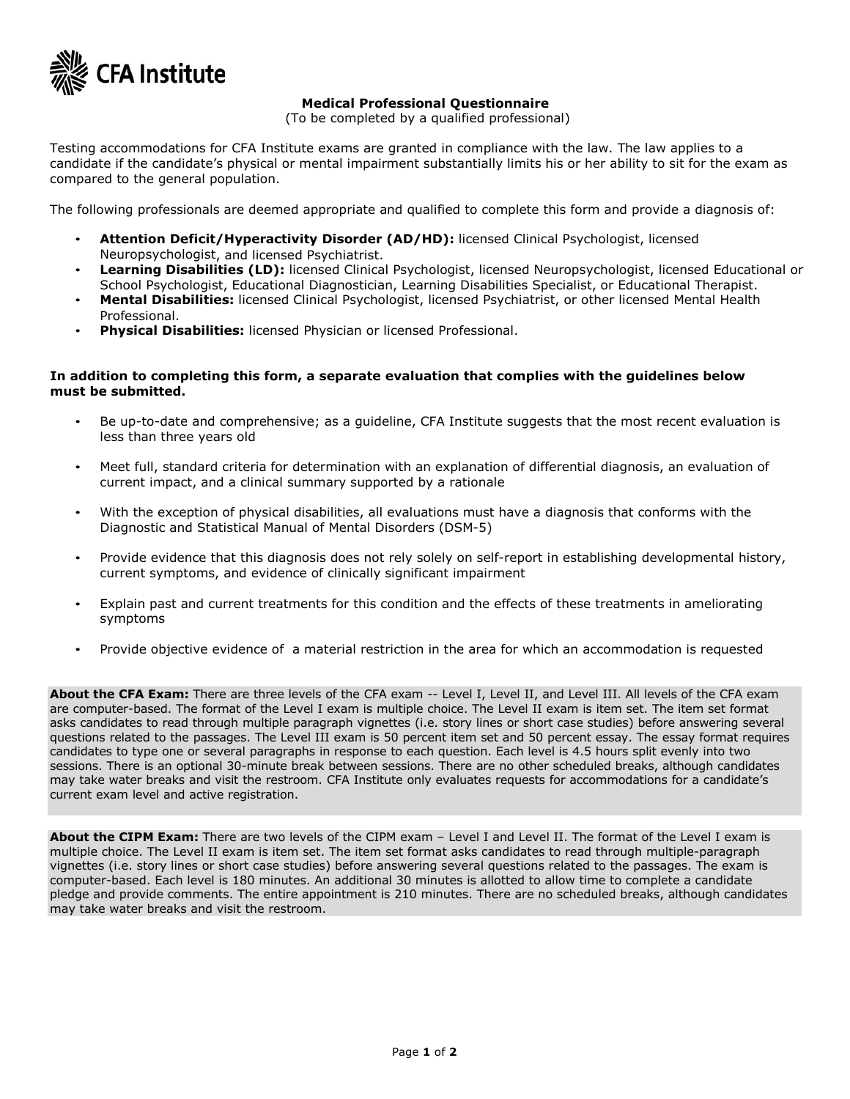

# **Medical Professional Questionnaire**

(To be completed by a qualified professional)

Testing accommodations for CFA Institute exams are granted in compliance with the law. The law applies to a candidate if the candidate's physical or mental impairment substantially limits his or her ability to sit for the exam as compared to the general population.

The following professionals are deemed appropriate and qualified to complete this form and provide a diagnosis of:

- **Attention Deficit/Hyperactivity Disorder (AD/HD):** licensed Clinical Psychologist, licensed Neuropsychologist, and licensed Psychiatrist.
- **Learning Disabilities (LD):** licensed Clinical Psychologist, licensed Neuropsychologist, licensed Educational or School Psychologist, Educational Diagnostician, Learning Disabilities Specialist, or Educational Therapist.
- **Mental Disabilities:** licensed Clinical Psychologist, licensed Psychiatrist, or other licensed Mental Health Professional.
- **Physical Disabilities:** licensed Physician or licensed Professional.

## **In addition to completing this form, a separate evaluation that complies with the guidelines below must be submitted.**

- Be up-to-date and comprehensive; as a guideline, CFA Institute suggests that the most recent evaluation is less than three years old
- Meet full, standard criteria for determination with an explanation of differential diagnosis, an evaluation of current impact, and a clinical summary supported by a rationale
- With the exception of physical disabilities, all evaluations must have a diagnosis that conforms with the Diagnostic and Statistical Manual of Mental Disorders (DSM-5)
- Provide evidence that this diagnosis does not rely solely on self-report in establishing developmental history, current symptoms, and evidence of clinically significant impairment
- Explain past and current treatments for this condition and the effects of these treatments in ameliorating symptoms
- Provide objective evidence of a material restriction in the area for which an accommodation is requested

About the CFA Exam: There are three levels of the CFA exam -- Level I, Level II, and Level III. All levels of the CFA exam are computer-based. The format of the Level I exam is multiple choice. The Level II exam is item set. The item set format asks candidates to read through multiple paragraph vignettes (i.e. story lines or short case studies) before answering several questions related to the passages. The Level III exam is 50 percent item set and 50 percent essay. The essay format requires candidates to type one or several paragraphs in response to each question. Each level is 4.5 hours split evenly into two sessions. There is an optional 30-minute break between sessions. There are no other scheduled breaks, although candidates may take water breaks and visit the restroom. CFA Institute only evaluates requests for accommodations for a candidate's current exam level and active registration.

**About the CIPM Exam:** There are two levels of the CIPM exam – Level I and Level II. The format of the Level I exam is multiple choice. The Level II exam is item set. The item set format asks candidates to read through multiple-paragraph vignettes (i.e. story lines or short case studies) before answering several questions related to the passages. The exam is computer-based. Each level is 180 minutes. An additional 30 minutes is allotted to allow time to complete a candidate pledge and provide comments. The entire appointment is 210 minutes. There are no scheduled breaks, although candidates may take water breaks and visit the restroom.